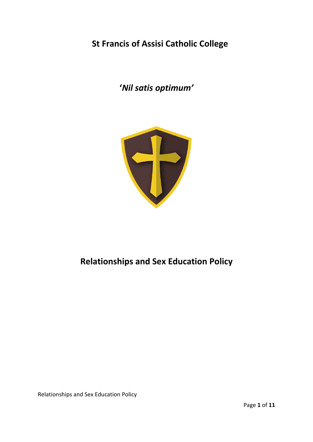# **St Francis of Assisi Catholic College**

**'***Nil satis optimum'*



# **Relationships and Sex Education Policy**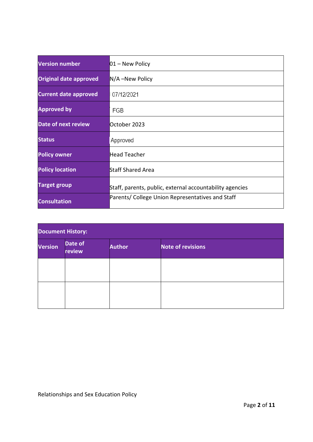| <b>Version number</b>         | $01 -$ New Policy                                        |  |
|-------------------------------|----------------------------------------------------------|--|
| <b>Original date approved</b> | $N/A$ –New Policy                                        |  |
| <b>Current date approved</b>  | 07/12/2021                                               |  |
| <b>Approved by</b>            | FGB                                                      |  |
| <b>Date of next review</b>    | October 2023                                             |  |
| <b>Status</b>                 | Approved                                                 |  |
| <b>Policy owner</b>           | Head Teacher                                             |  |
| <b>Policy location</b>        | <b>Staff Shared Area</b>                                 |  |
| <b>Target group</b>           | Staff, parents, public, external accountability agencies |  |
| <b>Consultation</b>           | Parents/ College Union Representatives and Staff         |  |

| <b>Document History:</b> |                   |               |                          |  |  |
|--------------------------|-------------------|---------------|--------------------------|--|--|
| <b>Version</b>           | Date of<br>review | <b>Author</b> | <b>Note of revisions</b> |  |  |
|                          |                   |               |                          |  |  |
|                          |                   |               |                          |  |  |
|                          |                   |               |                          |  |  |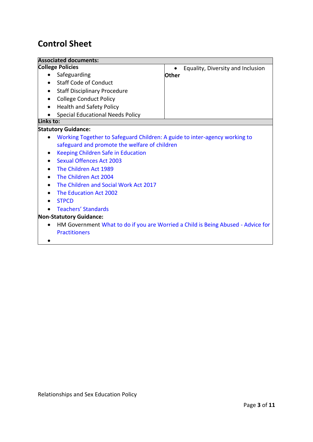# **Control Sheet**

| <b>Associated documents:</b>                                                     |                                                                                                                             |  |  |  |  |
|----------------------------------------------------------------------------------|-----------------------------------------------------------------------------------------------------------------------------|--|--|--|--|
| <b>College Policies</b>                                                          | Equality, Diversity and Inclusion                                                                                           |  |  |  |  |
| Safeguarding                                                                     | <b>Other</b>                                                                                                                |  |  |  |  |
| <b>Staff Code of Conduct</b>                                                     |                                                                                                                             |  |  |  |  |
| <b>Staff Disciplinary Procedure</b><br>٠                                         |                                                                                                                             |  |  |  |  |
| <b>College Conduct Policy</b><br>$\bullet$                                       |                                                                                                                             |  |  |  |  |
| <b>Health and Safety Policy</b>                                                  |                                                                                                                             |  |  |  |  |
| <b>Special Educational Needs Policy</b>                                          |                                                                                                                             |  |  |  |  |
| Links to:                                                                        |                                                                                                                             |  |  |  |  |
| <b>Statutory Guidance:</b>                                                       |                                                                                                                             |  |  |  |  |
|                                                                                  | Working Together to Safeguard Children: A guide to inter-agency working to<br>safeguard and promote the welfare of children |  |  |  |  |
| Keeping Children Safe in Education<br>٠                                          |                                                                                                                             |  |  |  |  |
| <b>Sexual Offences Act 2003</b>                                                  |                                                                                                                             |  |  |  |  |
| The Children Act 1989                                                            |                                                                                                                             |  |  |  |  |
| The Children Act 2004                                                            |                                                                                                                             |  |  |  |  |
| The Children and Social Work Act 2017                                            |                                                                                                                             |  |  |  |  |
| The Education Act 2002                                                           |                                                                                                                             |  |  |  |  |
| <b>STPCD</b>                                                                     |                                                                                                                             |  |  |  |  |
| <b>Teachers' Standards</b>                                                       |                                                                                                                             |  |  |  |  |
| <b>Non-Statutory Guidance:</b>                                                   |                                                                                                                             |  |  |  |  |
| HM Government What to do if you are Worried a Child is Being Abused - Advice for |                                                                                                                             |  |  |  |  |
| <b>Practitioners</b>                                                             |                                                                                                                             |  |  |  |  |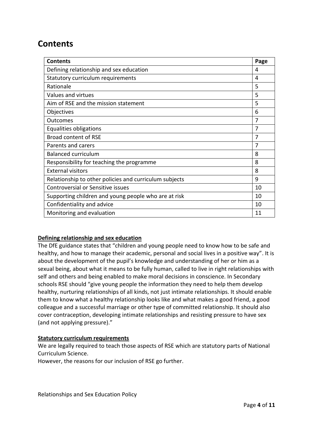## **Contents**

| <b>Contents</b>                                        | Page |
|--------------------------------------------------------|------|
| Defining relationship and sex education                | 4    |
| Statutory curriculum requirements                      | 4    |
| Rationale                                              | 5    |
| Values and virtues                                     | 5    |
| Aim of RSE and the mission statement                   | 5    |
| Objectives                                             | 6    |
| Outcomes                                               | 7    |
| Equalities obligations                                 | 7    |
| <b>Broad content of RSE</b>                            | 7    |
| Parents and carers                                     | 7    |
| <b>Balanced curriculum</b>                             | 8    |
| Responsibility for teaching the programme              | 8    |
| <b>External visitors</b>                               | 8    |
| Relationship to other policies and curriculum subjects | 9    |
| Controversial or Sensitive issues                      | 10   |
| Supporting children and young people who are at risk   | 10   |
| Confidentiality and advice                             | 10   |
| Monitoring and evaluation                              | 11   |

## **Defining relationship and sex education**

The DfE guidance states that "children and young people need to know how to be safe and healthy, and how to manage their academic, personal and social lives in a positive way". It is about the development of the pupil's knowledge and understanding of her or him as a sexual being, about what it means to be fully human, called to live in right relationships with self and others and being enabled to make moral decisions in conscience. In Secondary schools RSE should "give young people the information they need to help them develop healthy, nurturing relationships of all kinds, not just intimate relationships. It should enable them to know what a healthy relationship looks like and what makes a good friend, a good colleague and a successful marriage or other type of committed relationship. It should also cover contraception, developing intimate relationships and resisting pressure to have sex (and not applying pressure)."

#### **Statutory curriculum requirements**

We are legally required to teach those aspects of RSE which are statutory parts of National Curriculum Science.

However, the reasons for our inclusion of RSE go further.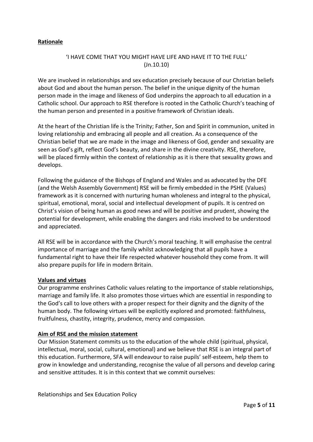## **Rationale**

## 'I HAVE COME THAT YOU MIGHT HAVE LIFE AND HAVE IT TO THE FULL' (Jn.10.10)

We are involved in relationships and sex education precisely because of our Christian beliefs about God and about the human person. The belief in the unique dignity of the human person made in the image and likeness of God underpins the approach to all education in a Catholic school. Our approach to RSE therefore is rooted in the Catholic Church's teaching of the human person and presented in a positive framework of Christian ideals.

At the heart of the Christian life is the Trinity; Father, Son and Spirit in communion, united in loving relationship and embracing all people and all creation. As a consequence of the Christian belief that we are made in the image and likeness of God, gender and sexuality are seen as God's gift, reflect God's beauty, and share in the divine creativity. RSE, therefore, will be placed firmly within the context of relationship as it is there that sexuality grows and develops.

Following the guidance of the Bishops of England and Wales and as advocated by the DFE (and the Welsh Assembly Government) RSE will be firmly embedded in the PSHE (Values) framework as it is concerned with nurturing human wholeness and integral to the physical, spiritual, emotional, moral, social and intellectual development of pupils. It is centred on Christ's vision of being human as good news and will be positive and prudent, showing the potential for development, while enabling the dangers and risks involved to be understood and appreciated.

All RSE will be in accordance with the Church's moral teaching. It will emphasise the central importance of marriage and the family whilst acknowledging that all pupils have a fundamental right to have their life respected whatever household they come from. It will also prepare pupils for life in modern Britain.

#### **Values and virtues**

Our programme enshrines Catholic values relating to the importance of stable relationships, marriage and family life. It also promotes those virtues which are essential in responding to the God's call to love others with a proper respect for their dignity and the dignity of the human body. The following virtues will be explicitly explored and promoted: faithfulness, fruitfulness, chastity, integrity, prudence, mercy and compassion.

#### **Aim of RSE and the mission statement**

Our Mission Statement commits us to the education of the whole child (spiritual, physical, intellectual, moral, social, cultural, emotional) and we believe that RSE is an integral part of this education. Furthermore, SFA will endeavour to raise pupils' self-esteem, help them to grow in knowledge and understanding, recognise the value of all persons and develop caring and sensitive attitudes. It is in this context that we commit ourselves: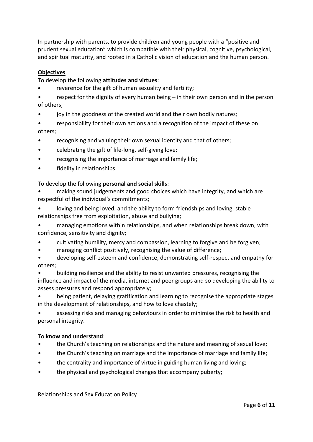In partnership with parents, to provide children and young people with a "positive and prudent sexual education" which is compatible with their physical, cognitive, psychological, and spiritual maturity, and rooted in a Catholic vision of education and the human person.

## **Objectives**

## To develop the following **attitudes and virtues**:

reverence for the gift of human sexuality and fertility;

respect for the dignity of every human being  $-$  in their own person and in the person of others;

joy in the goodness of the created world and their own bodily natures;

• responsibility for their own actions and a recognition of the impact of these on others;

- recognising and valuing their own sexual identity and that of others;
- celebrating the gift of life-long, self-giving love;
- recognising the importance of marriage and family life;
- fidelity in relationships.

## To develop the following **personal and social skills**:

• making sound judgements and good choices which have integrity, and which are respectful of the individual's commitments;

• loving and being loved, and the ability to form friendships and loving, stable relationships free from exploitation, abuse and bullying;

• managing emotions within relationships, and when relationships break down, with confidence, sensitivity and dignity;

- cultivating humility, mercy and compassion, learning to forgive and be forgiven;
- managing conflict positively, recognising the value of difference;
- developing self-esteem and confidence, demonstrating self-respect and empathy for others;

• building resilience and the ability to resist unwanted pressures, recognising the influence and impact of the media, internet and peer groups and so developing the ability to assess pressures and respond appropriately;

• being patient, delaying gratification and learning to recognise the appropriate stages in the development of relationships, and how to love chastely;

• assessing risks and managing behaviours in order to minimise the risk to health and personal integrity.

## To **know and understand**:

- the Church's teaching on relationships and the nature and meaning of sexual love;
- the Church's teaching on marriage and the importance of marriage and family life;
- the centrality and importance of virtue in guiding human living and loving;
- the physical and psychological changes that accompany puberty;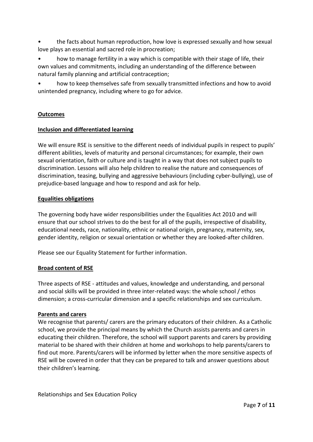• the facts about human reproduction, how love is expressed sexually and how sexual love plays an essential and sacred role in procreation;

• how to manage fertility in a way which is compatible with their stage of life, their own values and commitments, including an understanding of the difference between natural family planning and artificial contraception;

• how to keep themselves safe from sexually transmitted infections and how to avoid unintended pregnancy, including where to go for advice.

## **Outcomes**

#### **Inclusion and differentiated learning**

We will ensure RSE is sensitive to the different needs of individual pupils in respect to pupils' different abilities, levels of maturity and personal circumstances; for example, their own sexual orientation, faith or culture and is taught in a way that does not subject pupils to discrimination. Lessons will also help children to realise the nature and consequences of discrimination, teasing, bullying and aggressive behaviours (including cyber-bullying), use of prejudice-based language and how to respond and ask for help.

#### **Equalities obligations**

The governing body have wider responsibilities under the Equalities Act 2010 and will ensure that our school strives to do the best for all of the pupils, irrespective of disability, educational needs, race, nationality, ethnic or national origin, pregnancy, maternity, sex, gender identity, religion or sexual orientation or whether they are looked-after children.

Please see our Equality Statement for further information.

#### **Broad content of RSE**

Three aspects of RSE - attitudes and values, knowledge and understanding, and personal and social skills will be provided in three inter-related ways: the whole school / ethos dimension; a cross-curricular dimension and a specific relationships and sex curriculum.

#### **Parents and carers**

We recognise that parents/ carers are the primary educators of their children. As a Catholic school, we provide the principal means by which the Church assists parents and carers in educating their children. Therefore, the school will support parents and carers by providing material to be shared with their children at home and workshops to help parents/carers to find out more. Parents/carers will be informed by letter when the more sensitive aspects of RSE will be covered in order that they can be prepared to talk and answer questions about their children's learning.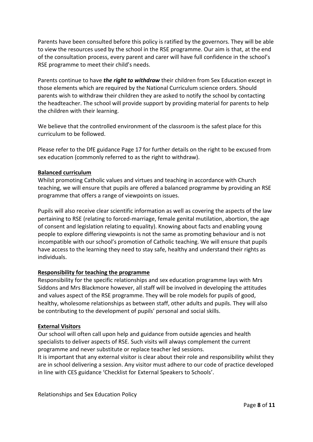Parents have been consulted before this policy is ratified by the governors. They will be able to view the resources used by the school in the RSE programme. Our aim is that, at the end of the consultation process, every parent and carer will have full confidence in the school's RSE programme to meet their child's needs.

Parents continue to have *the right to withdraw* their children from Sex Education except in those elements which are required by the National Curriculum science orders. Should parents wish to withdraw their children they are asked to notify the school by contacting the headteacher. The school will provide support by providing material for parents to help the children with their learning.

We believe that the controlled environment of the classroom is the safest place for this curriculum to be followed.

Please refer to the DfE guidance Page 17 for further details on the right to be excused from sex education (commonly referred to as the right to withdraw).

#### **Balanced curriculum**

Whilst promoting Catholic values and virtues and teaching in accordance with Church teaching, we will ensure that pupils are offered a balanced programme by providing an RSE programme that offers a range of viewpoints on issues.

Pupils will also receive clear scientific information as well as covering the aspects of the law pertaining to RSE (relating to forced-marriage, female genital mutilation, abortion, the age of consent and legislation relating to equality). Knowing about facts and enabling young people to explore differing viewpoints is not the same as promoting behaviour and is not incompatible with our school's promotion of Catholic teaching. We will ensure that pupils have access to the learning they need to stay safe, healthy and understand their rights as individuals.

#### **Responsibility for teaching the programme**

Responsibility for the specific relationships and sex education programme lays with Mrs Siddons and Mrs Blackmore however, all staff will be involved in developing the attitudes and values aspect of the RSE programme. They will be role models for pupils of good, healthy, wholesome relationships as between staff, other adults and pupils. They will also be contributing to the development of pupils' personal and social skills.

#### **External Visitors**

Our school will often call upon help and guidance from outside agencies and health specialists to deliver aspects of RSE. Such visits will always complement the current programme and never substitute or replace teacher led sessions.

It is important that any external visitor is clear about their role and responsibility whilst they are in school delivering a session. Any visitor must adhere to our code of practice developed in line with CES guidance 'Checklist for External Speakers to Schools'.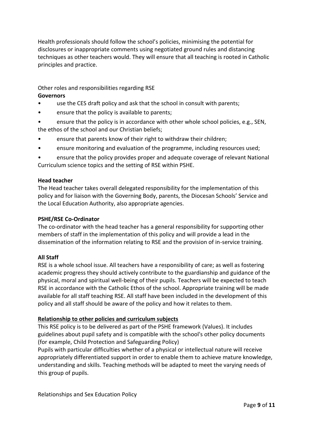Health professionals should follow the school's policies, minimising the potential for disclosures or inappropriate comments using negotiated ground rules and distancing techniques as other teachers would. They will ensure that all teaching is rooted in Catholic principles and practice.

Other roles and responsibilities regarding RSE

## **Governors**

- use the CES draft policy and ask that the school in consult with parents;
- ensure that the policy is available to parents;
- ensure that the policy is in accordance with other whole school policies, e.g., SEN, the ethos of the school and our Christian beliefs;
- ensure that parents know of their right to withdraw their children;
- ensure monitoring and evaluation of the programme, including resources used;

• ensure that the policy provides proper and adequate coverage of relevant National Curriculum science topics and the setting of RSE within PSHE.

#### **Head teacher**

The Head teacher takes overall delegated responsibility for the implementation of this policy and for liaison with the Governing Body, parents, the Diocesan Schools' Service and the Local Education Authority, also appropriate agencies.

## **PSHE/RSE Co-Ordinator**

The co-ordinator with the head teacher has a general responsibility for supporting other members of staff in the implementation of this policy and will provide a lead in the dissemination of the information relating to RSE and the provision of in-service training.

## **All Staff**

RSE is a whole school issue. All teachers have a responsibility of care; as well as fostering academic progress they should actively contribute to the guardianship and guidance of the physical, moral and spiritual well-being of their pupils. Teachers will be expected to teach RSE in accordance with the Catholic Ethos of the school. Appropriate training will be made available for all staff teaching RSE. All staff have been included in the development of this policy and all staff should be aware of the policy and how it relates to them.

## **Relationship to other policies and curriculum subjects**

This RSE policy is to be delivered as part of the PSHE framework (Values). It includes guidelines about pupil safety and is compatible with the school's other policy documents (for example, Child Protection and Safeguarding Policy)

Pupils with particular difficulties whether of a physical or intellectual nature will receive appropriately differentiated support in order to enable them to achieve mature knowledge, understanding and skills. Teaching methods will be adapted to meet the varying needs of this group of pupils.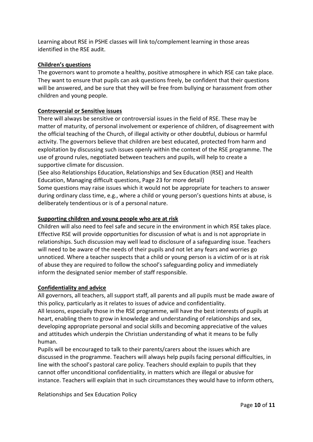Learning about RSE in PSHE classes will link to/complement learning in those areas identified in the RSE audit.

#### **Children's questions**

The governors want to promote a healthy, positive atmosphere in which RSE can take place. They want to ensure that pupils can ask questions freely, be confident that their questions will be answered, and be sure that they will be free from bullying or harassment from other children and young people.

#### **Controversial or Sensitive issues**

There will always be sensitive or controversial issues in the field of RSE. These may be matter of maturity, of personal involvement or experience of children, of disagreement with the official teaching of the Church, of illegal activity or other doubtful, dubious or harmful activity. The governors believe that children are best educated, protected from harm and exploitation by discussing such issues openly within the context of the RSE programme. The use of ground rules, negotiated between teachers and pupils, will help to create a supportive climate for discussion.

(See also Relationships Education, Relationships and Sex Education (RSE) and Health Education, Managing difficult questions, Page 23 for more detail)

Some questions may raise issues which it would not be appropriate for teachers to answer during ordinary class time, e.g., where a child or young person's questions hints at abuse, is deliberately tendentious or is of a personal nature.

#### **Supporting children and young people who are at risk**

Children will also need to feel safe and secure in the environment in which RSE takes place. Effective RSE will provide opportunities for discussion of what is and is not appropriate in relationships. Such discussion may well lead to disclosure of a safeguarding issue. Teachers will need to be aware of the needs of their pupils and not let any fears and worries go unnoticed. Where a teacher suspects that a child or young person is a victim of or is at risk of abuse they are required to follow the school's safeguarding policy and immediately inform the designated senior member of staff responsible.

#### **Confidentiality and advice**

All governors, all teachers, all support staff, all parents and all pupils must be made aware of this policy, particularly as it relates to issues of advice and confidentiality.

All lessons, especially those in the RSE programme, will have the best interests of pupils at heart, enabling them to grow in knowledge and understanding of relationships and sex, developing appropriate personal and social skills and becoming appreciative of the values and attitudes which underpin the Christian understanding of what it means to be fully human.

Pupils will be encouraged to talk to their parents/carers about the issues which are discussed in the programme. Teachers will always help pupils facing personal difficulties, in line with the school's pastoral care policy. Teachers should explain to pupils that they cannot offer unconditional confidentiality, in matters which are illegal or abusive for instance. Teachers will explain that in such circumstances they would have to inform others,